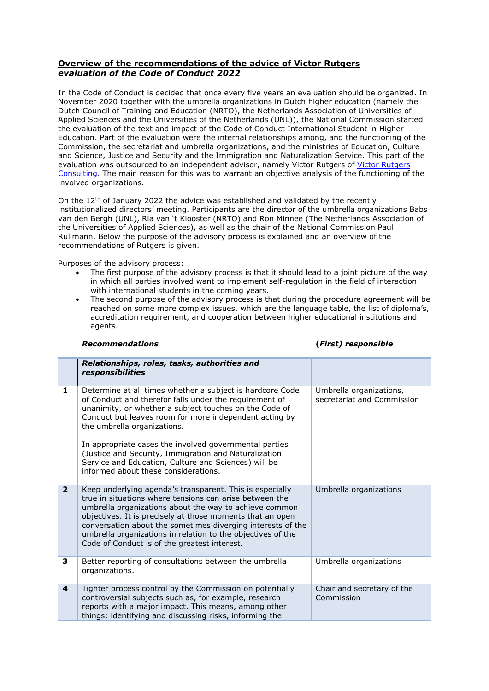## **Overview of the recommendations of the advice of Victor Rutgers** *evaluation of the Code of Conduct 2022*

In the Code of Conduct is decided that once every five years an evaluation should be organized. In November 2020 together with the umbrella organizations in Dutch higher education (namely the Dutch Council of Training and Education (NRTO), the Netherlands Association of Universities of Applied Sciences and the Universities of the Netherlands (UNL)), the National Commission started the evaluation of the text and impact of the Code of Conduct International Student in Higher Education. Part of the evaluation were the internal relationships among, and the functioning of the Commission, the secretariat and umbrella organizations, and the ministries of Education, Culture and Science, Justice and Security and the Immigration and Naturalization Service. This part of the evaluation was outsourced to an independent advisor, namely [Victor Rutgers](https://victorrutgers.com/) of Victor Rutgers [Consulting.](https://victorrutgers.com/) The main reason for this was to warrant an objective analysis of the functioning of the involved organizations.

On the  $12<sup>th</sup>$  of January 2022 the advice was established and validated by the recently institutionalized directors' meeting. Participants are the director of the umbrella organizations Babs van den Bergh (UNL), Ria van 't Klooster (NRTO) and Ron Minnee (The Netherlands Association of the Universities of Applied Sciences), as well as the chair of the National Commission Paul Rullmann. Below the purpose of the advisory process is explained and an overview of the recommendations of Rutgers is given.

Purposes of the advisory process:

- The first purpose of the advisory process is that it should lead to a joint picture of the way in which all parties involved want to implement self-regulation in the field of interaction with international students in the coming years.
- The second purpose of the advisory process is that during the procedure agreement will be reached on some more complex issues, which are the language table, the list of diploma's, accreditation requirement, and cooperation between higher educational institutions and agents.

| <b>Recommendations</b> |  |
|------------------------|--|
|------------------------|--|

*Recommendations* **(***First) responsible*

|                | Relationships, roles, tasks, authorities and<br>responsibilities                                                                                                                                                                                                                                                                                                                                                         |                                                       |
|----------------|--------------------------------------------------------------------------------------------------------------------------------------------------------------------------------------------------------------------------------------------------------------------------------------------------------------------------------------------------------------------------------------------------------------------------|-------------------------------------------------------|
| 1              | Determine at all times whether a subject is hardcore Code<br>of Conduct and therefor falls under the requirement of<br>unanimity, or whether a subject touches on the Code of<br>Conduct but leaves room for more independent acting by<br>the umbrella organizations.                                                                                                                                                   | Umbrella organizations,<br>secretariat and Commission |
|                | In appropriate cases the involved governmental parties<br>(Justice and Security, Immigration and Naturalization<br>Service and Education, Culture and Sciences) will be<br>informed about these considerations.                                                                                                                                                                                                          |                                                       |
| $\overline{2}$ | Keep underlying agenda's transparent. This is especially<br>true in situations where tensions can arise between the<br>umbrella organizations about the way to achieve common<br>objectives. It is precisely at those moments that an open<br>conversation about the sometimes diverging interests of the<br>umbrella organizations in relation to the objectives of the<br>Code of Conduct is of the greatest interest. | Umbrella organizations                                |
| 3              | Better reporting of consultations between the umbrella<br>organizations.                                                                                                                                                                                                                                                                                                                                                 | Umbrella organizations                                |
| 4              | Tighter process control by the Commission on potentially<br>controversial subjects such as, for example, research<br>reports with a major impact. This means, among other<br>things: identifying and discussing risks, informing the                                                                                                                                                                                     | Chair and secretary of the<br>Commission              |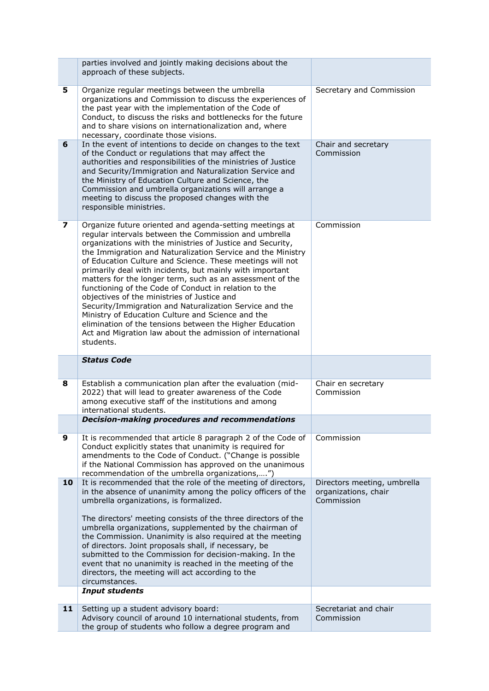|                         | parties involved and jointly making decisions about the<br>approach of these subjects.                                                                                                                                                                                                                                                                                                                                                                                                                                                                                                                                                                                                                                                                                                             |                                                                   |
|-------------------------|----------------------------------------------------------------------------------------------------------------------------------------------------------------------------------------------------------------------------------------------------------------------------------------------------------------------------------------------------------------------------------------------------------------------------------------------------------------------------------------------------------------------------------------------------------------------------------------------------------------------------------------------------------------------------------------------------------------------------------------------------------------------------------------------------|-------------------------------------------------------------------|
| 5                       | Organize regular meetings between the umbrella<br>organizations and Commission to discuss the experiences of<br>the past year with the implementation of the Code of<br>Conduct, to discuss the risks and bottlenecks for the future<br>and to share visions on internationalization and, where<br>necessary, coordinate those visions.                                                                                                                                                                                                                                                                                                                                                                                                                                                            | Secretary and Commission                                          |
| 6                       | In the event of intentions to decide on changes to the text<br>of the Conduct or regulations that may affect the<br>authorities and responsibilities of the ministries of Justice<br>and Security/Immigration and Naturalization Service and<br>the Ministry of Education Culture and Science, the<br>Commission and umbrella organizations will arrange a<br>meeting to discuss the proposed changes with the<br>responsible ministries.                                                                                                                                                                                                                                                                                                                                                          | Chair and secretary<br>Commission                                 |
| $\overline{\mathbf{z}}$ | Organize future oriented and agenda-setting meetings at<br>regular intervals between the Commission and umbrella<br>organizations with the ministries of Justice and Security,<br>the Immigration and Naturalization Service and the Ministry<br>of Education Culture and Science. These meetings will not<br>primarily deal with incidents, but mainly with important<br>matters for the longer term, such as an assessment of the<br>functioning of the Code of Conduct in relation to the<br>objectives of the ministries of Justice and<br>Security/Immigration and Naturalization Service and the<br>Ministry of Education Culture and Science and the<br>elimination of the tensions between the Higher Education<br>Act and Migration law about the admission of international<br>students. | Commission                                                        |
|                         |                                                                                                                                                                                                                                                                                                                                                                                                                                                                                                                                                                                                                                                                                                                                                                                                    |                                                                   |
|                         | <b>Status Code</b>                                                                                                                                                                                                                                                                                                                                                                                                                                                                                                                                                                                                                                                                                                                                                                                 |                                                                   |
| 8                       | Establish a communication plan after the evaluation (mid-<br>2022) that will lead to greater awareness of the Code<br>among executive staff of the institutions and among<br>international students.                                                                                                                                                                                                                                                                                                                                                                                                                                                                                                                                                                                               | Chair en secretary<br>Commission                                  |
|                         | Decision-making procedures and recommendations                                                                                                                                                                                                                                                                                                                                                                                                                                                                                                                                                                                                                                                                                                                                                     |                                                                   |
| 9                       | It is recommended that article 8 paragraph 2 of the Code of<br>Conduct explicitly states that unanimity is required for<br>amendments to the Code of Conduct. ("Change is possible<br>if the National Commission has approved on the unanimous<br>recommendation of the umbrella organizations,")                                                                                                                                                                                                                                                                                                                                                                                                                                                                                                  | Commission                                                        |
| 10                      | It is recommended that the role of the meeting of directors,<br>in the absence of unanimity among the policy officers of the<br>umbrella organizations, is formalized.<br>The directors' meeting consists of the three directors of the<br>umbrella organizations, supplemented by the chairman of<br>the Commission. Unanimity is also required at the meeting<br>of directors. Joint proposals shall, if necessary, be<br>submitted to the Commission for decision-making. In the<br>event that no unanimity is reached in the meeting of the<br>directors, the meeting will act according to the<br>circumstances.                                                                                                                                                                              | Directors meeting, umbrella<br>organizations, chair<br>Commission |
| 11                      | <b>Input students</b><br>Setting up a student advisory board:                                                                                                                                                                                                                                                                                                                                                                                                                                                                                                                                                                                                                                                                                                                                      | Secretariat and chair                                             |